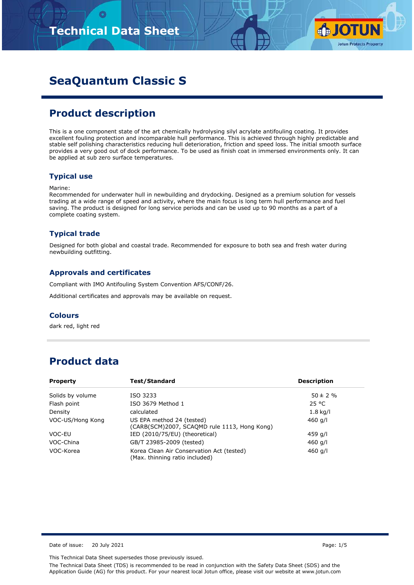

# **SeaQuantum Classic S**

## **Product description**

This is a one component state of the art chemically hydrolysing silyl acrylate antifouling coating. It provides excellent fouling protection and incomparable hull performance. This is achieved through highly predictable and stable self polishing characteristics reducing hull deterioration, friction and speed loss. The initial smooth surface provides a very good out of dock performance. To be used as finish coat in immersed environments only. It can be applied at sub zero surface temperatures.

### **Typical use**

#### Marine:

Recommended for underwater hull in newbuilding and drydocking. Designed as a premium solution for vessels trading at a wide range of speed and activity, where the main focus is long term hull performance and fuel saving. The product is designed for long service periods and can be used up to 90 months as a part of a complete coating system.

### **Typical trade**

Designed for both global and coastal trade. Recommended for exposure to both sea and fresh water during newbuilding outfitting.

### **Approvals and certificates**

Compliant with IMO Antifouling System Convention AFS/CONF/26.

Additional certificates and approvals may be available on request.

#### **Colours**

dark red, light red

## **Product data**

| <b>Test/Standard</b><br><b>Property</b> |                                                                             | <b>Description</b> |  |  |
|-----------------------------------------|-----------------------------------------------------------------------------|--------------------|--|--|
| Solids by volume                        | ISO 3233                                                                    | $50 \pm 2 \%$      |  |  |
| Flash point                             | ISO 3679 Method 1                                                           | 25 °C              |  |  |
| Density                                 | calculated                                                                  | $1.8$ kg/l         |  |  |
| VOC-US/Hong Kong                        | US EPA method 24 (tested)<br>(CARB(SCM)2007, SCAQMD rule 1113, Hong Kong)   | 460 g/l            |  |  |
| VOC-EU                                  | IED (2010/75/EU) (theoretical)                                              | 459 g/l            |  |  |
| VOC-China                               | GB/T 23985-2009 (tested)                                                    | 460 g/l            |  |  |
| VOC-Korea                               | Korea Clean Air Conservation Act (tested)<br>(Max. thinning ratio included) | 460 g/l            |  |  |

Date of issue: 20 July 2021 20 Australian 20 July 2021 20:00 Page: 1/5

This Technical Data Sheet supersedes those previously issued.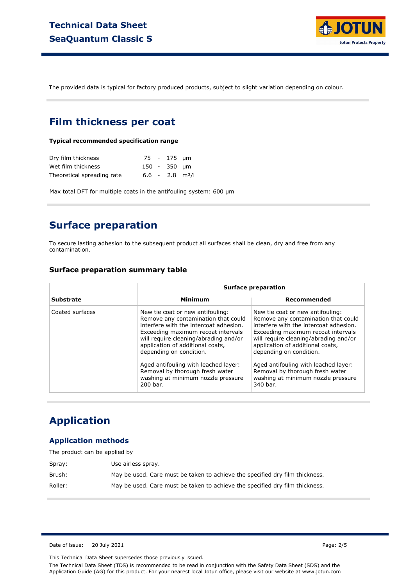

The provided data is typical for factory produced products, subject to slight variation depending on colour.

### **Film thickness per coat**

**Typical recommended specification range**

| Dry film thickness         |  | 75 - 175 µm                   |  |
|----------------------------|--|-------------------------------|--|
| Wet film thickness         |  | 150 - 350 um                  |  |
| Theoretical spreading rate |  | $6.6 - 2.8$ m <sup>2</sup> /l |  |

Max total DFT for multiple coats in the antifouling system: 600 µm

### **Surface preparation**

To secure lasting adhesion to the subsequent product all surfaces shall be clean, dry and free from any contamination.

### **Surface preparation summary table**

|                  |                                                                                                                                                                                                                                                                 | <b>Surface preparation</b>                                                                                                                                                                                                                                                                              |  |  |  |
|------------------|-----------------------------------------------------------------------------------------------------------------------------------------------------------------------------------------------------------------------------------------------------------------|---------------------------------------------------------------------------------------------------------------------------------------------------------------------------------------------------------------------------------------------------------------------------------------------------------|--|--|--|
| <b>Substrate</b> | Minimum                                                                                                                                                                                                                                                         | Recommended                                                                                                                                                                                                                                                                                             |  |  |  |
| Coated surfaces  | New tie coat or new antifouling:<br>Remove any contamination that could<br>interfere with the intercoat adhesion.<br>Exceeding maximum recoat intervals<br>will require cleaning/abrading and/or<br>application of additional coats,<br>depending on condition. | New tie coat or new antifouling:<br>Remove any contamination that could<br>interfere with the intercoat adhesion.<br>Exceeding maximum recoat intervals<br>will require cleaning/abrading and/or<br>application of additional coats,<br>depending on condition.<br>Aged antifouling with leached layer: |  |  |  |
|                  | Aged antifouling with leached layer:<br>Removal by thorough fresh water<br>washing at minimum nozzle pressure<br>200 bar.                                                                                                                                       | Removal by thorough fresh water<br>washing at minimum nozzle pressure<br>340 bar.                                                                                                                                                                                                                       |  |  |  |

### **Application**

### **Application methods**

| The product can be applied by |                                                                              |  |  |  |
|-------------------------------|------------------------------------------------------------------------------|--|--|--|
| Spray:                        | Use airless spray.                                                           |  |  |  |
| Brush:                        | May be used. Care must be taken to achieve the specified dry film thickness. |  |  |  |
| Roller:                       | May be used. Care must be taken to achieve the specified dry film thickness. |  |  |  |

Date of issue: 20 July 2021 20 Date of issue: 20 July 2021

This Technical Data Sheet supersedes those previously issued.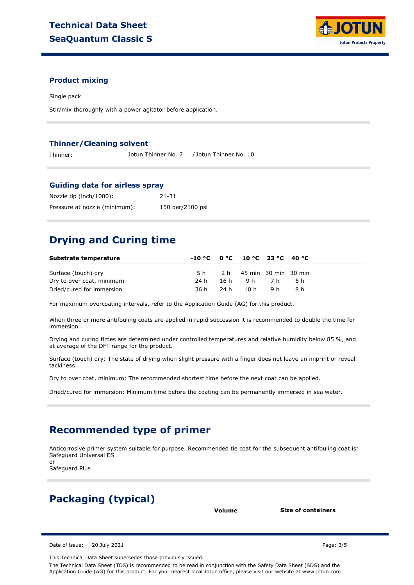

### **Product mixing**

Single pack

Stir/mix thoroughly with a power agitator before application.

#### **Thinner/Cleaning solvent**

Thinner: Jotun Thinner No. 7 / Jotun Thinner No. 10

#### **Guiding data for airless spray**

| Nozzle tip (inch/1000):       | 21-31            |
|-------------------------------|------------------|
| Pressure at nozzle (minimum): | 150 bar/2100 psi |

### **Drying and Curing time**

| Substrate temperature     |      | $-10 °C$ $0 °C$ $10 °C$ $23 °C$ $40 °C$ |     |     |  |
|---------------------------|------|-----------------------------------------|-----|-----|--|
| Surface (touch) dry       | 5 h  | 2 h 45 min 30 min 30 min                |     |     |  |
| Dry to over coat, minimum | 24 h | 16h 9h 7h                               |     | 6 h |  |
| Dried/cured for immersion | 36 h | 24h 10h                                 | 9 h | 8 h |  |

For maximum overcoating intervals, refer to the Application Guide (AG) for this product.

When three or more antifouling coats are applied in rapid succession it is recommended to double the time for immersion.

Drying and curing times are determined under controlled temperatures and relative humidity below 85 %, and at average of the DFT range for the product.

Surface (touch) dry: The state of drying when slight pressure with a finger does not leave an imprint or reveal tackiness.

Dry to over coat, minimum: The recommended shortest time before the next coat can be applied.

Dried/cured for immersion: Minimum time before the coating can be permanently immersed in sea water.

### **Recommended type of primer**

Anticorrosive primer system suitable for purpose. Recommended tie coat for the subsequent antifouling coat is: Safeguard Universal ES or

Safeguard Plus

## **Packaging (typical)**

| Volume |  |
|--------|--|
|--------|--|

**Size of containers**

Date of issue: 20 July 2021 20 Australian 20 July 2021 20:3/5

This Technical Data Sheet supersedes those previously issued.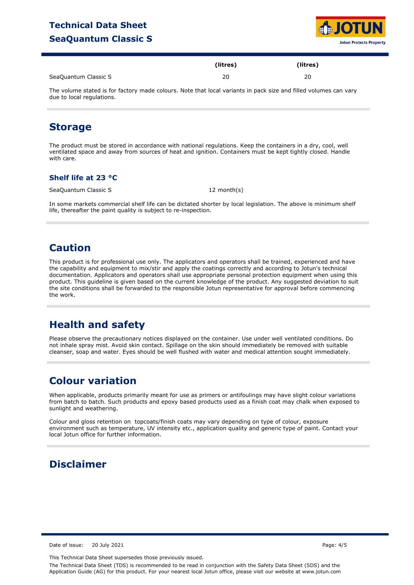

|                      | (litres) | (litres) |
|----------------------|----------|----------|
| SeaQuantum Classic S | 20       | 20       |

The volume stated is for factory made colours. Note that local variants in pack size and filled volumes can vary due to local regulations.

### **Storage**

The product must be stored in accordance with national regulations. Keep the containers in a dry, cool, well ventilated space and away from sources of heat and ignition. Containers must be kept tightly closed. Handle with care.

### **Shelf life at 23 °C**

SeaQuantum Classic S 12 month(s)

In some markets commercial shelf life can be dictated shorter by local legislation. The above is minimum shelf life, thereafter the paint quality is subject to re-inspection.

### **Caution**

This product is for professional use only. The applicators and operators shall be trained, experienced and have the capability and equipment to mix/stir and apply the coatings correctly and according to Jotun's technical documentation. Applicators and operators shall use appropriate personal protection equipment when using this product. This guideline is given based on the current knowledge of the product. Any suggested deviation to suit the site conditions shall be forwarded to the responsible Jotun representative for approval before commencing the work.

## **Health and safety**

Please observe the precautionary notices displayed on the container. Use under well ventilated conditions. Do not inhale spray mist. Avoid skin contact. Spillage on the skin should immediately be removed with suitable cleanser, soap and water. Eyes should be well flushed with water and medical attention sought immediately.

## **Colour variation**

When applicable, products primarily meant for use as primers or antifoulings may have slight colour variations from batch to batch. Such products and epoxy based products used as a finish coat may chalk when exposed to sunlight and weathering.

Colour and gloss retention on topcoats/finish coats may vary depending on type of colour, exposure environment such as temperature, UV intensity etc., application quality and generic type of paint. Contact your local Jotun office for further information.

## **Disclaimer**

Date of issue: 20 July 2021 Page: 4/5

This Technical Data Sheet supersedes those previously issued.